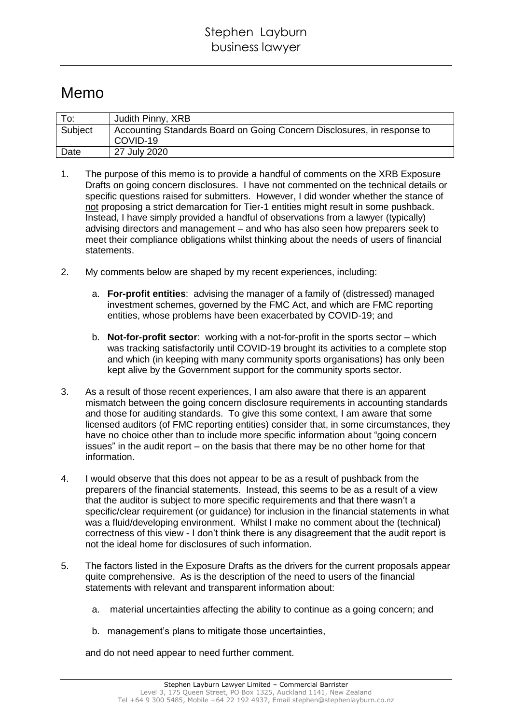## Memo

| $\mathsf{T}$ o: | Judith Pinny, XRB                                                       |
|-----------------|-------------------------------------------------------------------------|
| Subject         | Accounting Standards Board on Going Concern Disclosures, in response to |
|                 | l COVID-19                                                              |
| Date            | 27 July 2020                                                            |

- 1. The purpose of this memo is to provide a handful of comments on the XRB Exposure Drafts on going concern disclosures. I have not commented on the technical details or specific questions raised for submitters. However, I did wonder whether the stance of not proposing a strict demarcation for Tier-1 entities might result in some pushback. Instead, I have simply provided a handful of observations from a lawyer (typically) advising directors and management – and who has also seen how preparers seek to meet their compliance obligations whilst thinking about the needs of users of financial statements.
- 2. My comments below are shaped by my recent experiences, including:
	- a. **For-profit entities**: advising the manager of a family of (distressed) managed investment schemes, governed by the FMC Act, and which are FMC reporting entities, whose problems have been exacerbated by COVID-19; and
	- b. **Not-for-profit sector**: working with a not-for-profit in the sports sector which was tracking satisfactorily until COVID-19 brought its activities to a complete stop and which (in keeping with many community sports organisations) has only been kept alive by the Government support for the community sports sector.
- 3. As a result of those recent experiences, I am also aware that there is an apparent mismatch between the going concern disclosure requirements in accounting standards and those for auditing standards. To give this some context, I am aware that some licensed auditors (of FMC reporting entities) consider that, in some circumstances, they have no choice other than to include more specific information about "going concern issues" in the audit report – on the basis that there may be no other home for that information.
- 4. I would observe that this does not appear to be as a result of pushback from the preparers of the financial statements. Instead, this seems to be as a result of a view that the auditor is subject to more specific requirements and that there wasn't a specific/clear requirement (or guidance) for inclusion in the financial statements in what was a fluid/developing environment. Whilst I make no comment about the (technical) correctness of this view - I don't think there is any disagreement that the audit report is not the ideal home for disclosures of such information.
- 5. The factors listed in the Exposure Drafts as the drivers for the current proposals appear quite comprehensive. As is the description of the need to users of the financial statements with relevant and transparent information about:
	- a. material uncertainties affecting the ability to continue as a going concern; and
	- b. management's plans to mitigate those uncertainties,

and do not need appear to need further comment.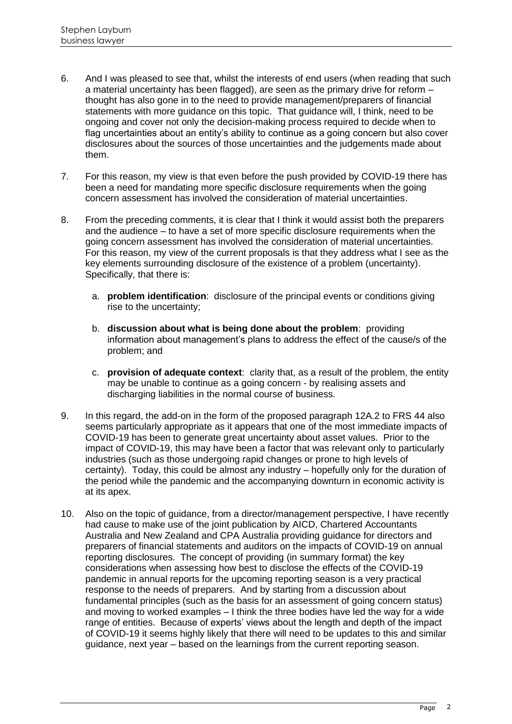- 6. And I was pleased to see that, whilst the interests of end users (when reading that such a material uncertainty has been flagged), are seen as the primary drive for reform – thought has also gone in to the need to provide management/preparers of financial statements with more guidance on this topic. That guidance will, I think, need to be ongoing and cover not only the decision-making process required to decide when to flag uncertainties about an entity's ability to continue as a going concern but also cover disclosures about the sources of those uncertainties and the judgements made about them.
- 7. For this reason, my view is that even before the push provided by COVID-19 there has been a need for mandating more specific disclosure requirements when the going concern assessment has involved the consideration of material uncertainties.
- 8. From the preceding comments, it is clear that I think it would assist both the preparers and the audience – to have a set of more specific disclosure requirements when the going concern assessment has involved the consideration of material uncertainties. For this reason, my view of the current proposals is that they address what I see as the key elements surrounding disclosure of the existence of a problem (uncertainty). Specifically, that there is:
	- a. **problem identification**: disclosure of the principal events or conditions giving rise to the uncertainty;
	- b. **discussion about what is being done about the problem**: providing information about management's plans to address the effect of the cause/s of the problem; and
	- c. **provision of adequate context**: clarity that, as a result of the problem, the entity may be unable to continue as a going concern - by realising assets and discharging liabilities in the normal course of business.
- 9. In this regard, the add-on in the form of the proposed paragraph 12A.2 to FRS 44 also seems particularly appropriate as it appears that one of the most immediate impacts of COVID-19 has been to generate great uncertainty about asset values. Prior to the impact of COVID-19, this may have been a factor that was relevant only to particularly industries (such as those undergoing rapid changes or prone to high levels of certainty). Today, this could be almost any industry – hopefully only for the duration of the period while the pandemic and the accompanying downturn in economic activity is at its apex.
- 10. Also on the topic of guidance, from a director/management perspective, I have recently had cause to make use of the joint publication by AICD, Chartered Accountants Australia and New Zealand and CPA Australia providing guidance for directors and preparers of financial statements and auditors on the impacts of COVID-19 on annual reporting disclosures. The concept of providing (in summary format) the key considerations when assessing how best to disclose the effects of the COVID-19 pandemic in annual reports for the upcoming reporting season is a very practical response to the needs of preparers. And by starting from a discussion about fundamental principles (such as the basis for an assessment of going concern status) and moving to worked examples – I think the three bodies have led the way for a wide range of entities. Because of experts' views about the length and depth of the impact of COVID-19 it seems highly likely that there will need to be updates to this and similar guidance, next year – based on the learnings from the current reporting season.